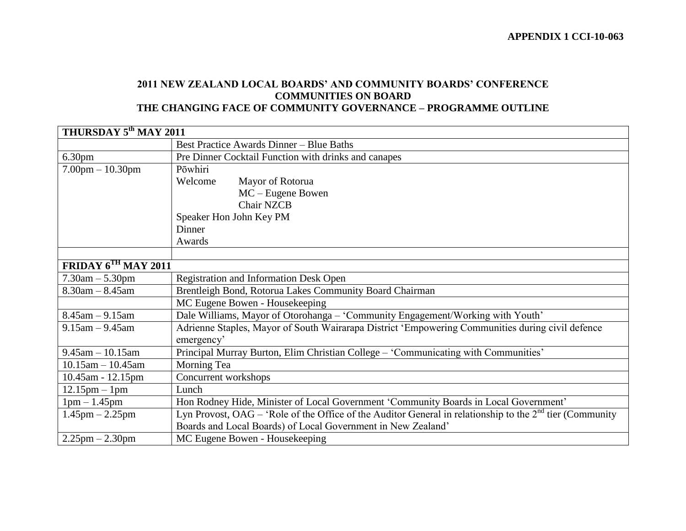**APPENDIX 1 CCI-10-063**

## **2011 NEW ZEALAND LOCAL BOARDS' AND COMMUNITY BOARDS' CONFERENCE COMMUNITIES ON BOARD THE CHANGING FACE OF COMMUNITY GOVERNANCE – PROGRAMME OUTLINE**

| THURSDAY 5 <sup>th</sup> MAY 2011  |                                                                                                            |  |  |  |  |  |
|------------------------------------|------------------------------------------------------------------------------------------------------------|--|--|--|--|--|
|                                    | <b>Best Practice Awards Dinner – Blue Baths</b>                                                            |  |  |  |  |  |
| 6.30 <sub>pm</sub>                 | Pre Dinner Cocktail Function with drinks and canapes                                                       |  |  |  |  |  |
| $7.00 \text{pm} - 10.30 \text{pm}$ | Pōwhiri                                                                                                    |  |  |  |  |  |
|                                    | Welcome<br>Mayor of Rotorua                                                                                |  |  |  |  |  |
|                                    | $MC$ – Eugene Bowen                                                                                        |  |  |  |  |  |
|                                    | <b>Chair NZCB</b>                                                                                          |  |  |  |  |  |
|                                    | Speaker Hon John Key PM                                                                                    |  |  |  |  |  |
|                                    | Dinner                                                                                                     |  |  |  |  |  |
|                                    | Awards                                                                                                     |  |  |  |  |  |
|                                    |                                                                                                            |  |  |  |  |  |
| FRIDAY $6^{TH}$ MAY 2011           |                                                                                                            |  |  |  |  |  |
| $7.30am - 5.30pm$                  | <b>Registration and Information Desk Open</b>                                                              |  |  |  |  |  |
| $8.30$ am $- 8.45$ am              | Brentleigh Bond, Rotorua Lakes Community Board Chairman                                                    |  |  |  |  |  |
|                                    | MC Eugene Bowen - Housekeeping                                                                             |  |  |  |  |  |
| $8.45$ am $-9.15$ am               | Dale Williams, Mayor of Otorohanga - 'Community Engagement/Working with Youth'                             |  |  |  |  |  |
| $9.15$ am $-9.45$ am               | Adrienne Staples, Mayor of South Wairarapa District 'Empowering Communities during civil defence           |  |  |  |  |  |
|                                    | emergency'                                                                                                 |  |  |  |  |  |
| $9.45$ am $-10.15$ am              | Principal Murray Burton, Elim Christian College – 'Communicating with Communities'                         |  |  |  |  |  |
| $10.15$ am $- 10.45$ am            | Morning Tea                                                                                                |  |  |  |  |  |
| 10.45am - 12.15pm                  | Concurrent workshops                                                                                       |  |  |  |  |  |
| $12.15$ pm $-1$ pm                 | Lunch                                                                                                      |  |  |  |  |  |
| $1pm - 1.45pm$                     | Hon Rodney Hide, Minister of Local Government 'Community Boards in Local Government'                       |  |  |  |  |  |
| $1.45$ pm $- 2.25$ pm              | Lyn Provost, OAG – 'Role of the Office of the Auditor General in relationship to the $2nd$ tier (Community |  |  |  |  |  |
|                                    | Boards and Local Boards) of Local Government in New Zealand'                                               |  |  |  |  |  |
| $2.25$ pm $- 2.30$ pm              | MC Eugene Bowen - Housekeeping                                                                             |  |  |  |  |  |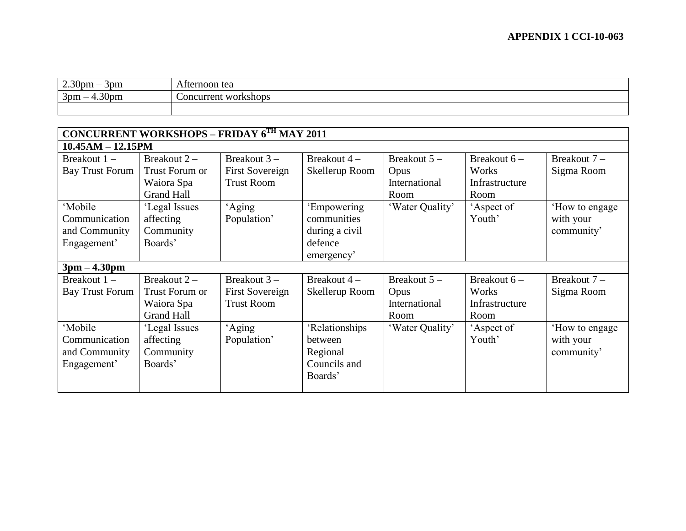| 2.30 <sub>pm</sub><br>3pm                  | Afternoon tea        |
|--------------------------------------------|----------------------|
| $\Omega$<br>3 <sub>pm</sub><br>4.30pm<br>_ | Concurrent workshops |
|                                            |                      |

| <b>CONCURRENT WORKSHOPS - FRIDAY 6TH MAY 2011</b> |                   |                        |                |                 |                |                |  |  |
|---------------------------------------------------|-------------------|------------------------|----------------|-----------------|----------------|----------------|--|--|
| $10.45AM - 12.15PM$                               |                   |                        |                |                 |                |                |  |  |
| Breakout $1 -$                                    | Breakout 2-       | Breakout $3-$          | Breakout $4-$  | Breakout $5-$   | Breakout $6-$  | Breakout 7 -   |  |  |
| <b>Bay Trust Forum</b>                            | Trust Forum or    | <b>First Sovereign</b> | Skellerup Room | Opus            | Works          | Sigma Room     |  |  |
|                                                   | Waiora Spa        | <b>Trust Room</b>      |                | International   | Infrastructure |                |  |  |
|                                                   | <b>Grand Hall</b> |                        |                | Room            | Room           |                |  |  |
| 'Mobile                                           | 'Legal Issues     | 'Aging                 | 'Empowering    | 'Water Quality' | 'Aspect of     | How to engage  |  |  |
| Communication                                     | affecting         | Population'            | communities    |                 | Youth'         | with your      |  |  |
| and Community                                     | Community         |                        | during a civil |                 |                | community'     |  |  |
| Engagement'                                       | Boards'           |                        | defence        |                 |                |                |  |  |
|                                                   |                   |                        | emergency'     |                 |                |                |  |  |
| $3pm - 4.30pm$                                    |                   |                        |                |                 |                |                |  |  |
| Breakout $1 -$                                    | Breakout $2 -$    | Breakout $3-$          | Breakout $4-$  | Breakout $5 -$  | Breakout $6-$  | Breakout $7 -$ |  |  |
| <b>Bay Trust Forum</b>                            | Trust Forum or    | <b>First Sovereign</b> | Skellerup Room | Opus            | Works          | Sigma Room     |  |  |
|                                                   | Waiora Spa        | <b>Trust Room</b>      |                | International   | Infrastructure |                |  |  |
|                                                   | <b>Grand Hall</b> |                        |                | Room            | Room           |                |  |  |
| 'Mobile                                           | 'Legal Issues     | 'Aging                 | 'Relationships | 'Water Quality' | 'Aspect of     | How to engage  |  |  |
| Communication                                     | affecting         | Population'            | between        |                 | Youth'         | with your      |  |  |
| and Community                                     | Community         |                        | Regional       |                 |                | community'     |  |  |
| Engagement'                                       | Boards'           |                        | Councils and   |                 |                |                |  |  |
|                                                   |                   |                        | Boards'        |                 |                |                |  |  |
|                                                   |                   |                        |                |                 |                |                |  |  |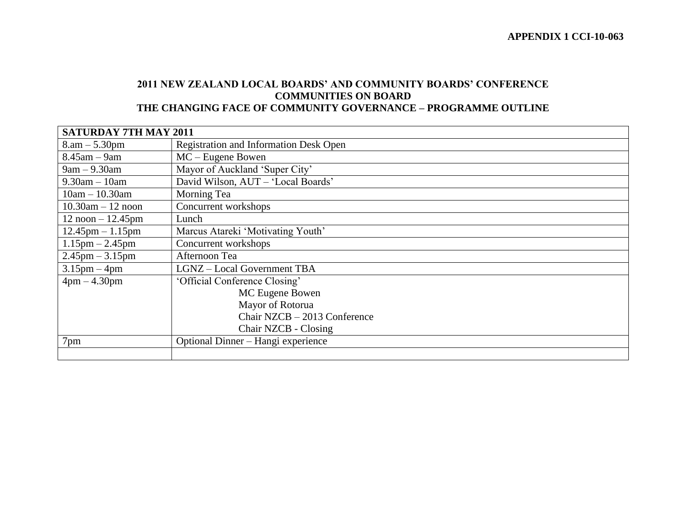**APPENDIX 1 CCI-10-063**

## **2011 NEW ZEALAND LOCAL BOARDS' AND COMMUNITY BOARDS' CONFERENCE COMMUNITIES ON BOARD THE CHANGING FACE OF COMMUNITY GOVERNANCE – PROGRAMME OUTLINE**

| <b>SATURDAY 7TH MAY 2011</b>       |                                               |  |  |  |
|------------------------------------|-----------------------------------------------|--|--|--|
| $8 \text{ am} - 5.30 \text{ pm}$   | <b>Registration and Information Desk Open</b> |  |  |  |
| $8.45$ am $-9$ am                  | $MC$ – Eugene Bowen                           |  |  |  |
| $9am - 9.30am$                     | Mayor of Auckland 'Super City'                |  |  |  |
| $9.30$ am $-10$ am                 | David Wilson, AUT - 'Local Boards'            |  |  |  |
| $10am - 10.30am$                   | Morning Tea                                   |  |  |  |
| $10.30$ am $-12$ noon              | Concurrent workshops                          |  |  |  |
| $12$ noon $-12.45$ pm              | Lunch                                         |  |  |  |
| $12.45 \text{pm} - 1.15 \text{pm}$ | Marcus Atareki 'Motivating Youth'             |  |  |  |
| $1.15$ pm $- 2.45$ pm              | Concurrent workshops                          |  |  |  |
| $2.45$ pm $-3.15$ pm               | Afternoon Tea                                 |  |  |  |
| $3.15$ pm $-4$ pm                  | <b>LGNZ</b> - Local Government TBA            |  |  |  |
| $4pm - 4.30pm$                     | 'Official Conference Closing'                 |  |  |  |
|                                    | MC Eugene Bowen                               |  |  |  |
|                                    | Mayor of Rotorua                              |  |  |  |
|                                    | Chair NZCB $-$ 2013 Conference                |  |  |  |
|                                    | Chair NZCB - Closing                          |  |  |  |
| 7pm                                | Optional Dinner - Hangi experience            |  |  |  |
|                                    |                                               |  |  |  |